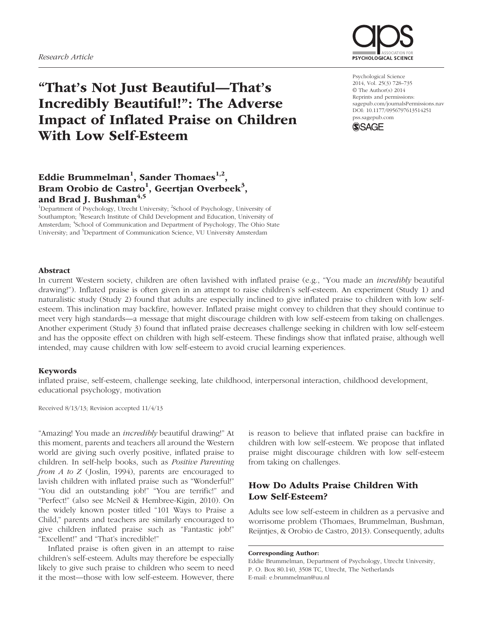

# "That's Not Just Beautiful—That's Incredibly Beautiful!": The Adverse Impact of Inflated Praise on Children With Low Self-Esteem

Psychological Science 2014, Vol. 25(3) 728–735 © The Author(s) 2014 Reprints and permissions: sagepub.com/journalsPermissions.nav DOI: 10.1177/0956797613514251 pss.sagepub.com



## Eddie Brummelman<sup>1</sup>, Sander Thomaes<sup>1,2</sup>, Bram Orobio de Castro<sup>1</sup>, Geertjan Overbeek<sup>3</sup>, and Brad J. Bushman $4,5$

<sup>1</sup>Department of Psychology, Utrecht University; <sup>2</sup>School of Psychology, University of Southampton; <sup>3</sup>Research Institute of Child Development and Education, University of Amsterdam; <sup>4</sup>School of Communication and Department of Psychology, The Ohio State University; and <sup>5</sup>Department of Communication Science, VU University Amsterdam

#### Abstract

In current Western society, children are often lavished with inflated praise (e.g., "You made an *incredibly* beautiful drawing!"). Inflated praise is often given in an attempt to raise children's self-esteem. An experiment (Study 1) and naturalistic study (Study 2) found that adults are especially inclined to give inflated praise to children with low selfesteem. This inclination may backfire, however. Inflated praise might convey to children that they should continue to meet very high standards—a message that might discourage children with low self-esteem from taking on challenges. Another experiment (Study 3) found that inflated praise decreases challenge seeking in children with low self-esteem and has the opposite effect on children with high self-esteem. These findings show that inflated praise, although well intended, may cause children with low self-esteem to avoid crucial learning experiences.

#### Keywords

inflated praise, self-esteem, challenge seeking, late childhood, interpersonal interaction, childhood development, educational psychology, motivation

Received 8/13/13; Revision accepted 11/4/13

"Amazing! You made an *incredibly* beautiful drawing!" At this moment, parents and teachers all around the Western world are giving such overly positive, inflated praise to children. In self-help books, such as *Positive Parenting from A to Z* (Joslin, 1994), parents are encouraged to lavish children with inflated praise such as "Wonderful!" "You did an outstanding job!" "You are terrific!" and "Perfect!" (also see McNeil & Hembree-Kigin, 2010). On the widely known poster titled "101 Ways to Praise a Child," parents and teachers are similarly encouraged to give children inflated praise such as "Fantastic job!" "Excellent!" and "That's incredible!"

Inflated praise is often given in an attempt to raise children's self-esteem. Adults may therefore be especially likely to give such praise to children who seem to need it the most—those with low self-esteem. However, there

is reason to believe that inflated praise can backfire in children with low self-esteem. We propose that inflated praise might discourage children with low self-esteem from taking on challenges.

## How Do Adults Praise Children With Low Self-Esteem?

Adults see low self-esteem in children as a pervasive and worrisome problem (Thomaes, Brummelman, Bushman, Reijntjes, & Orobio de Castro, 2013). Consequently, adults

#### Corresponding Author:

Eddie Brummelman, Department of Psychology, Utrecht University, P. O. Box 80.140, 3508 TC, Utrecht, The Netherlands E-mail: e.brummelman@uu.nl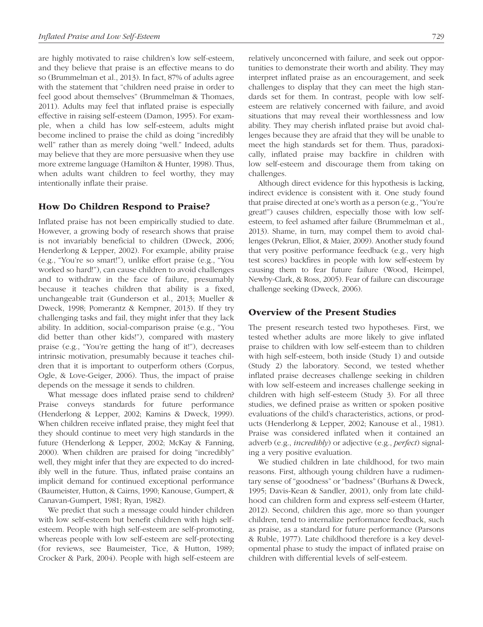are highly motivated to raise children's low self-esteem, and they believe that praise is an effective means to do so (Brummelman et al., 2013). In fact, 87% of adults agree with the statement that "children need praise in order to feel good about themselves" (Brummelman & Thomaes, 2011). Adults may feel that inflated praise is especially effective in raising self-esteem (Damon, 1995). For example, when a child has low self-esteem, adults might become inclined to praise the child as doing "incredibly well" rather than as merely doing "well." Indeed, adults may believe that they are more persuasive when they use more extreme language (Hamilton & Hunter, 1998). Thus, when adults want children to feel worthy, they may intentionally inflate their praise.

## How Do Children Respond to Praise?

Inflated praise has not been empirically studied to date. However, a growing body of research shows that praise is not invariably beneficial to children (Dweck, 2006; Henderlong & Lepper, 2002). For example, ability praise (e.g., "You're so smart!"), unlike effort praise (e.g., "You worked so hard!"), can cause children to avoid challenges and to withdraw in the face of failure, presumably because it teaches children that ability is a fixed, unchangeable trait (Gunderson et al., 2013; Mueller & Dweck, 1998; Pomerantz & Kempner, 2013). If they try challenging tasks and fail, they might infer that they lack ability. In addition, social-comparison praise (e.g., "You did better than other kids!"), compared with mastery praise (e.g., "You're getting the hang of it!"), decreases intrinsic motivation, presumably because it teaches children that it is important to outperform others (Corpus, Ogle, & Love-Geiger, 2006). Thus, the impact of praise depends on the message it sends to children.

What message does inflated praise send to children? Praise conveys standards for future performance (Henderlong & Lepper, 2002; Kamins & Dweck, 1999). When children receive inflated praise, they might feel that they should continue to meet very high standards in the future (Henderlong & Lepper, 2002; McKay & Fanning, 2000). When children are praised for doing "incredibly" well, they might infer that they are expected to do incredibly well in the future. Thus, inflated praise contains an implicit demand for continued exceptional performance (Baumeister, Hutton, & Cairns, 1990; Kanouse, Gumpert, & Canavan-Gumpert, 1981; Ryan, 1982).

We predict that such a message could hinder children with low self-esteem but benefit children with high selfesteem. People with high self-esteem are self-promoting, whereas people with low self-esteem are self-protecting (for reviews, see Baumeister, Tice, & Hutton, 1989; Crocker & Park, 2004). People with high self-esteem are relatively unconcerned with failure, and seek out opportunities to demonstrate their worth and ability. They may interpret inflated praise as an encouragement, and seek challenges to display that they can meet the high standards set for them. In contrast, people with low selfesteem are relatively concerned with failure, and avoid situations that may reveal their worthlessness and low ability. They may cherish inflated praise but avoid challenges because they are afraid that they will be unable to meet the high standards set for them. Thus, paradoxically, inflated praise may backfire in children with low self-esteem and discourage them from taking on challenges.

Although direct evidence for this hypothesis is lacking, indirect evidence is consistent with it. One study found that praise directed at one's worth as a person (e.g., "You're great!") causes children, especially those with low selfesteem, to feel ashamed after failure (Brummelman et al., 2013). Shame, in turn, may compel them to avoid challenges (Pekrun, Elliot, & Maier, 2009). Another study found that very positive performance feedback (e.g., very high test scores) backfires in people with low self-esteem by causing them to fear future failure (Wood, Heimpel, Newby-Clark, & Ross, 2005). Fear of failure can discourage challenge seeking (Dweck, 2006).

## Overview of the Present Studies

The present research tested two hypotheses. First, we tested whether adults are more likely to give inflated praise to children with low self-esteem than to children with high self-esteem, both inside (Study 1) and outside (Study 2) the laboratory. Second, we tested whether inflated praise decreases challenge seeking in children with low self-esteem and increases challenge seeking in children with high self-esteem (Study 3). For all three studies, we defined praise as written or spoken positive evaluations of the child's characteristics, actions, or products (Henderlong & Lepper, 2002; Kanouse et al., 1981). Praise was considered inflated when it contained an adverb (e.g., *incredibly*) or adjective (e.g., *perfect*) signaling a very positive evaluation.

We studied children in late childhood, for two main reasons. First, although young children have a rudimentary sense of "goodness" or "badness" (Burhans & Dweck, 1995; Davis-Kean & Sandler, 2001), only from late childhood can children form and express self-esteem (Harter, 2012). Second, children this age, more so than younger children, tend to internalize performance feedback, such as praise, as a standard for future performance (Parsons & Ruble, 1977). Late childhood therefore is a key developmental phase to study the impact of inflated praise on children with differential levels of self-esteem.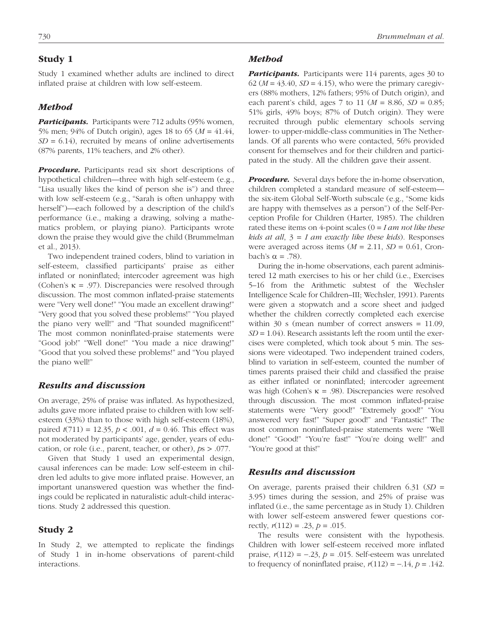## Study 1

Study 1 examined whether adults are inclined to direct inflated praise at children with low self-esteem.

## *Method*

**Participants.** Participants were 712 adults (95% women, 5% men; 94% of Dutch origin), ages 18 to 65 (*M* = 41.44,  $SD = 6.14$ , recruited by means of online advertisements (87% parents, 11% teachers, and 2% other).

**Procedure.** Participants read six short descriptions of hypothetical children—three with high self-esteem (e.g., "Lisa usually likes the kind of person she is") and three with low self-esteem (e.g., "Sarah is often unhappy with herself")—each followed by a description of the child's performance (i.e., making a drawing, solving a mathematics problem, or playing piano). Participants wrote down the praise they would give the child (Brummelman et al., 2013).

Two independent trained coders, blind to variation in self-esteem, classified participants' praise as either inflated or noninflated; intercoder agreement was high (Cohen's  $\kappa = .97$ ). Discrepancies were resolved through discussion. The most common inflated-praise statements were "Very well done!" "You made an excellent drawing!" "Very good that you solved these problems!" "You played the piano very well!" and "That sounded magnificent!" The most common noninflated-praise statements were "Good job!" "Well done!" "You made a nice drawing!" "Good that you solved these problems!" and "You played the piano well!"

### *Results and discussion*

On average, 25% of praise was inflated. As hypothesized, adults gave more inflated praise to children with low selfesteem (33%) than to those with high self-esteem (18%), paired *t*(711) = 12.35, *p* < .001, *d* = 0.46. This effect was not moderated by participants' age, gender, years of education, or role (i.e., parent, teacher, or other), *p*s > .077.

Given that Study 1 used an experimental design, causal inferences can be made: Low self-esteem in children led adults to give more inflated praise. However, an important unanswered question was whether the findings could be replicated in naturalistic adult-child interactions. Study 2 addressed this question.

#### Study 2

In Study 2, we attempted to replicate the findings of Study 1 in in-home observations of parent-child interactions.

## *Method*

**Participants.** Participants were 114 parents, ages 30 to  $62 (M = 43.40, SD = 4.15)$ , who were the primary caregivers (88% mothers, 12% fathers; 95% of Dutch origin), and each parent's child, ages 7 to 11 ( $M = 8.86$ ,  $SD = 0.85$ ; 51% girls, 49% boys; 87% of Dutch origin). They were recruited through public elementary schools serving lower- to upper-middle-class communities in The Netherlands. Of all parents who were contacted, 56% provided consent for themselves and for their children and participated in the study. All the children gave their assent.

*Procedure.* Several days before the in-home observation, children completed a standard measure of self-esteem the six-item Global Self-Worth subscale (e.g., "Some kids are happy with themselves as a person") of the Self-Perception Profile for Children (Harter, 1985). The children rated these items on 4-point scales (0 = *I am not like these kids at all*, 3 = *I am exactly like these kids*). Responses were averaged across items  $(M = 2.11, SD = 0.61, Cron$ bach's α = .78).

During the in-home observations, each parent administered 12 math exercises to his or her child (i.e., Exercises 5–16 from the Arithmetic subtest of the Wechsler Intelligence Scale for Children–III; Wechsler, 1991). Parents were given a stopwatch and a score sheet and judged whether the children correctly completed each exercise within 30 s (mean number of correct answers = 11.09, *SD* = 1.04). Research assistants left the room until the exercises were completed, which took about 5 min. The sessions were videotaped. Two independent trained coders, blind to variation in self-esteem, counted the number of times parents praised their child and classified the praise as either inflated or noninflated; intercoder agreement was high (Cohen's κ = .98). Discrepancies were resolved through discussion. The most common inflated-praise statements were "Very good!" "Extremely good!" "You answered very fast!" "Super good!" and "Fantastic!" The most common noninflated-praise statements were "Well done!" "Good!" "You're fast!" "You're doing well!" and "You're good at this!"

## *Results and discussion*

On average, parents praised their children 6.31 (*SD* = 3.95) times during the session, and 25% of praise was inflated (i.e., the same percentage as in Study 1). Children with lower self-esteem answered fewer questions correctly,  $r(112) = .23$ ,  $p = .015$ .

The results were consistent with the hypothesis. Children with lower self-esteem received more inflated praise,  $r(112) = -.23$ ,  $p = .015$ . Self-esteem was unrelated to frequency of noninflated praise,  $r(112) = -0.14$ ,  $p = 0.142$ .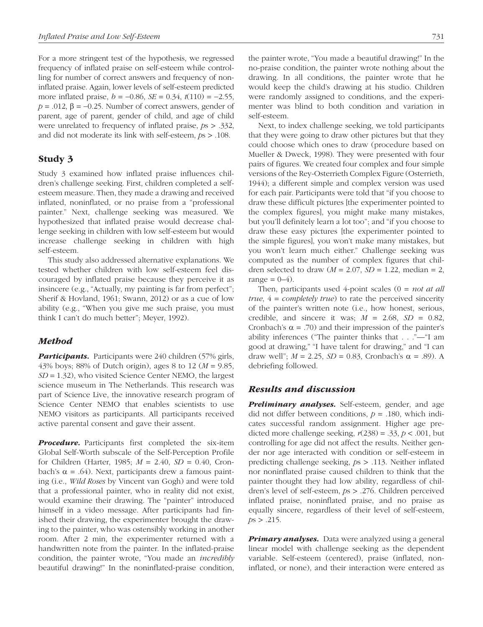For a more stringent test of the hypothesis, we regressed frequency of inflated praise on self-esteem while controlling for number of correct answers and frequency of noninflated praise. Again, lower levels of self-esteem predicted more inflated praise, *b* = −0.86, *SE* = 0.34, *t*(110) = −2.55,  $p = .012$ ,  $\beta = -0.25$ . Number of correct answers, gender of parent, age of parent, gender of child, and age of child were unrelated to frequency of inflated praise, *p*s > .332, and did not moderate its link with self-esteem, *p*s > .108.

## Study 3

Study 3 examined how inflated praise influences children's challenge seeking. First, children completed a selfesteem measure. Then, they made a drawing and received inflated, noninflated, or no praise from a "professional painter." Next, challenge seeking was measured. We hypothesized that inflated praise would decrease challenge seeking in children with low self-esteem but would increase challenge seeking in children with high self-esteem.

This study also addressed alternative explanations. We tested whether children with low self-esteem feel discouraged by inflated praise because they perceive it as insincere (e.g., "Actually, my painting is far from perfect"; Sherif & Hovland, 1961; Swann, 2012) or as a cue of low ability (e.g., "When you give me such praise, you must think I can't do much better"; Meyer, 1992).

## *Method*

**Participants.** Participants were 240 children (57% girls, 43% boys; 88% of Dutch origin), ages 8 to 12 (*M* = 9.85, *SD* = 1.32), who visited Science Center NEMO, the largest science museum in The Netherlands. This research was part of Science Live, the innovative research program of Science Center NEMO that enables scientists to use NEMO visitors as participants. All participants received active parental consent and gave their assent.

*Procedure.* Participants first completed the six-item Global Self-Worth subscale of the Self-Perception Profile for Children (Harter, 1985; *M* = 2.40, *SD* = 0.40, Cronbach's α = .64). Next, participants drew a famous painting (i.e., *Wild Roses* by Vincent van Gogh) and were told that a professional painter, who in reality did not exist, would examine their drawing. The "painter" introduced himself in a video message. After participants had finished their drawing, the experimenter brought the drawing to the painter, who was ostensibly working in another room. After 2 min, the experimenter returned with a handwritten note from the painter. In the inflated-praise condition, the painter wrote, "You made an *incredibly* beautiful drawing!" In the noninflated-praise condition, the painter wrote, "You made a beautiful drawing!" In the no-praise condition, the painter wrote nothing about the drawing. In all conditions, the painter wrote that he would keep the child's drawing at his studio. Children were randomly assigned to conditions, and the experimenter was blind to both condition and variation in self-esteem.

Next, to index challenge seeking, we told participants that they were going to draw other pictures but that they could choose which ones to draw (procedure based on Mueller & Dweck, 1998). They were presented with four pairs of figures. We created four complex and four simple versions of the Rey-Osterrieth Complex Figure (Osterrieth, 1944); a different simple and complex version was used for each pair. Participants were told that "if you choose to draw these difficult pictures [the experimenter pointed to the complex figures], you might make many mistakes, but you'll definitely learn a lot too"; and "if you choose to draw these easy pictures [the experimenter pointed to the simple figures], you won't make many mistakes, but you won't learn much either." Challenge seeking was computed as the number of complex figures that children selected to draw  $(M = 2.07, SD = 1.22, median = 2,$ range  $= 0-4$ ).

Then, participants used 4-point scales (0 = *not at all true*, 4 = *completely true*) to rate the perceived sincerity of the painter's written note (i.e., how honest, serious, credible, and sincere it was;  $M = 2.68$ ,  $SD = 0.82$ , Cronbach's  $\alpha$  = .70) and their impression of the painter's ability inferences ("The painter thinks that . . ."—"I am good at drawing," "I have talent for drawing," and "I can draw well";  $M = 2.25$ ,  $SD = 0.83$ , Cronbach's  $\alpha = .89$ ). A debriefing followed.

## *Results and discussion*

*Preliminary analyses.* Self-esteem, gender, and age did not differ between conditions, *p* = .180, which indicates successful random assignment. Higher age predicted more challenge seeking,  $r(238) = .33$ ,  $p < .001$ , but controlling for age did not affect the results. Neither gender nor age interacted with condition or self-esteem in predicting challenge seeking, *p*s > .113. Neither inflated nor noninflated praise caused children to think that the painter thought they had low ability, regardless of children's level of self-esteem, *p*s > .276. Children perceived inflated praise, noninflated praise, and no praise as equally sincere, regardless of their level of self-esteem,  $ps > .215$ .

*Primary analyses.* Data were analyzed using a general linear model with challenge seeking as the dependent variable. Self-esteem (centered), praise (inflated, noninflated, or none), and their interaction were entered as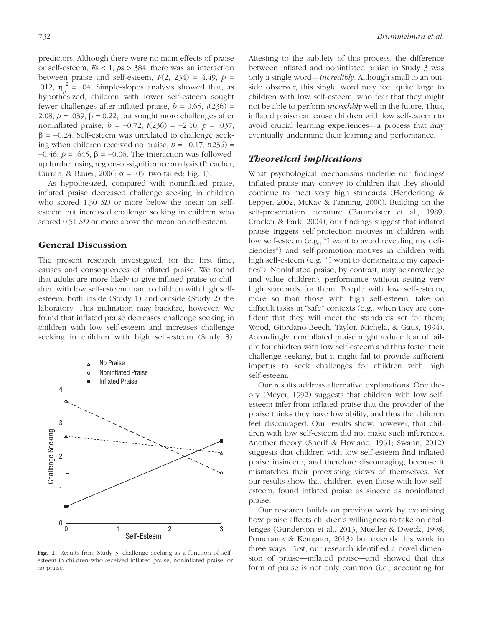predictors. Although there were no main effects of praise or self-esteem, *F*s < 1, *p*s > 384, there was an interaction between praise and self-esteem,  $F(2, 234) = 4.49$ ,  $p =$ .012,  $\eta_p^2 = .04$ . Simple-slopes analysis showed that, as hypothesized, children with lower self-esteem sought fewer challenges after inflated praise,  $b = 0.65$ ,  $t(236) =$ 2.08,  $p = .039$ ,  $\beta = 0.22$ , but sought more challenges after noninflated praise, *b* = −0.72, *t*(236) = −2.10, *p* = .037,  $\beta$  = -0.24. Self-esteem was unrelated to challenge seeking when children received no praise,  $b = -0.17$ ,  $t(236) =$ −0.46, *p* = .645, β = −0.06. The interaction was followedup further using region-of-significance analysis (Preacher, Curran, & Bauer, 2006;  $\alpha = .05$ , two-tailed; Fig. 1).

As hypothesized, compared with noninflated praise, inflated praise decreased challenge seeking in children who scored 1.30 *SD* or more below the mean on selfesteem but increased challenge seeking in children who scored 0.51 *SD* or more above the mean on self-esteem.

#### General Discussion

The present research investigated, for the first time, causes and consequences of inflated praise. We found that adults are more likely to give inflated praise to children with low self-esteem than to children with high selfesteem, both inside (Study 1) and outside (Study 2) the laboratory. This inclination may backfire, however. We found that inflated praise decreases challenge seeking in children with low self-esteem and increases challenge seeking in children with high self-esteem (Study 3).



Fig. 1. Results from Study 3: challenge seeking as a function of selfesteem in children who received inflated praise, noninflated praise, or no praise.

Attesting to the subtlety of this process, the difference between inflated and noninflated praise in Study 3 was only a single word—*incredibly*. Although small to an outside observer, this single word may feel quite large to children with low self-esteem, who fear that they might not be able to perform *incredibly* well in the future. Thus, inflated praise can cause children with low self-esteem to avoid crucial learning experiences—a process that may eventually undermine their learning and performance.

#### *Theoretical implications*

What psychological mechanisms underlie our findings? Inflated praise may convey to children that they should continue to meet very high standards (Henderlong & Lepper, 2002; McKay & Fanning, 2000). Building on the self-presentation literature (Baumeister et al., 1989; Crocker & Park, 2004), our findings suggest that inflated praise triggers self-protection motives in children with low self-esteem (e.g., "I want to avoid revealing my deficiencies") and self-promotion motives in children with high self-esteem (e.g., "I want to demonstrate my capacities"). Noninflated praise, by contrast, may acknowledge and value children's performance without setting very high standards for them. People with low self-esteem, more so than those with high self-esteem, take on difficult tasks in "safe" contexts (e.g., when they are confident that they will meet the standards set for them; Wood, Giordano-Beech, Taylor, Michela, & Gaus, 1994). Accordingly, noninflated praise might reduce fear of failure for children with low self-esteem and thus foster their challenge seeking, but it might fail to provide sufficient impetus to seek challenges for children with high self-esteem.

Our results address alternative explanations. One theory (Meyer, 1992) suggests that children with low selfesteem infer from inflated praise that the provider of the praise thinks they have low ability, and thus the children feel discouraged. Our results show, however, that children with low self-esteem did not make such inferences. Another theory (Sherif & Hovland, 1961; Swann, 2012) suggests that children with low self-esteem find inflated praise insincere, and therefore discouraging, because it mismatches their preexisting views of themselves. Yet our results show that children, even those with low selfesteem, found inflated praise as sincere as noninflated praise.

Our research builds on previous work by examining how praise affects children's willingness to take on challenges (Gunderson et al., 2013; Mueller & Dweck, 1998; Pomerantz & Kempner, 2013) but extends this work in three ways. First, our research identified a novel dimension of praise—inflated praise—and showed that this form of praise is not only common (i.e., accounting for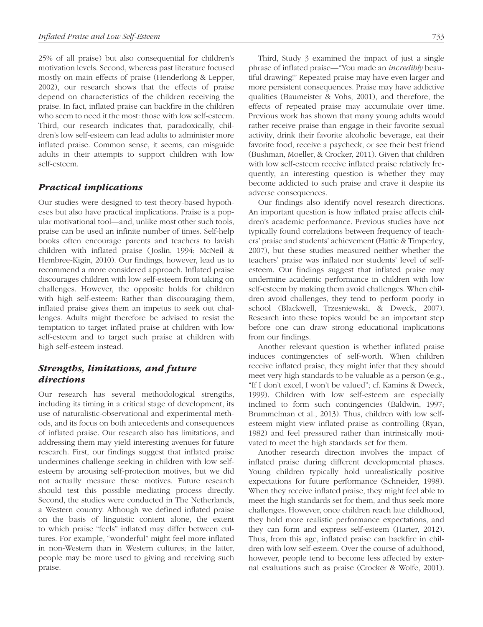25% of all praise) but also consequential for children's motivation levels. Second, whereas past literature focused mostly on main effects of praise (Henderlong & Lepper, 2002), our research shows that the effects of praise depend on characteristics of the children receiving the praise. In fact, inflated praise can backfire in the children who seem to need it the most: those with low self-esteem. Third, our research indicates that, paradoxically, children's low self-esteem can lead adults to administer more inflated praise. Common sense, it seems, can misguide adults in their attempts to support children with low self-esteem.

#### *Practical implications*

Our studies were designed to test theory-based hypotheses but also have practical implications. Praise is a popular motivational tool—and, unlike most other such tools, praise can be used an infinite number of times. Self-help books often encourage parents and teachers to lavish children with inflated praise (Joslin, 1994; McNeil & Hembree-Kigin, 2010). Our findings, however, lead us to recommend a more considered approach. Inflated praise discourages children with low self-esteem from taking on challenges. However, the opposite holds for children with high self-esteem: Rather than discouraging them, inflated praise gives them an impetus to seek out challenges. Adults might therefore be advised to resist the temptation to target inflated praise at children with low self-esteem and to target such praise at children with high self-esteem instead.

## *Strengths, limitations, and future directions*

Our research has several methodological strengths, including its timing in a critical stage of development, its use of naturalistic-observational and experimental methods, and its focus on both antecedents and consequences of inflated praise. Our research also has limitations, and addressing them may yield interesting avenues for future research. First, our findings suggest that inflated praise undermines challenge seeking in children with low selfesteem by arousing self-protection motives, but we did not actually measure these motives. Future research should test this possible mediating process directly. Second, the studies were conducted in The Netherlands, a Western country. Although we defined inflated praise on the basis of linguistic content alone, the extent to which praise "feels" inflated may differ between cultures. For example, "wonderful" might feel more inflated in non-Western than in Western cultures; in the latter, people may be more used to giving and receiving such praise.

Third, Study 3 examined the impact of just a single phrase of inflated praise—"You made an *incredibly* beautiful drawing!" Repeated praise may have even larger and more persistent consequences. Praise may have addictive qualities (Baumeister & Vohs, 2001), and therefore, the effects of repeated praise may accumulate over time. Previous work has shown that many young adults would rather receive praise than engage in their favorite sexual activity, drink their favorite alcoholic beverage, eat their favorite food, receive a paycheck, or see their best friend (Bushman, Moeller, & Crocker, 2011). Given that children with low self-esteem receive inflated praise relatively frequently, an interesting question is whether they may become addicted to such praise and crave it despite its adverse consequences.

Our findings also identify novel research directions. An important question is how inflated praise affects children's academic performance. Previous studies have not typically found correlations between frequency of teachers' praise and students' achievement (Hattie & Timperley, 2007), but these studies measured neither whether the teachers' praise was inflated nor students' level of selfesteem. Our findings suggest that inflated praise may undermine academic performance in children with low self-esteem by making them avoid challenges. When children avoid challenges, they tend to perform poorly in school (Blackwell, Trzesniewski, & Dweck, 2007). Research into these topics would be an important step before one can draw strong educational implications from our findings.

Another relevant question is whether inflated praise induces contingencies of self-worth. When children receive inflated praise, they might infer that they should meet very high standards to be valuable as a person (e.g., "If I don't excel, I won't be valued"; cf. Kamins & Dweck, 1999). Children with low self-esteem are especially inclined to form such contingencies (Baldwin, 1997; Brummelman et al., 2013). Thus, children with low selfesteem might view inflated praise as controlling (Ryan, 1982) and feel pressured rather than intrinsically motivated to meet the high standards set for them.

Another research direction involves the impact of inflated praise during different developmental phases. Young children typically hold unrealistically positive expectations for future performance (Schneider, 1998). When they receive inflated praise, they might feel able to meet the high standards set for them, and thus seek more challenges. However, once children reach late childhood, they hold more realistic performance expectations, and they can form and express self-esteem (Harter, 2012). Thus, from this age, inflated praise can backfire in children with low self-esteem. Over the course of adulthood, however, people tend to become less affected by external evaluations such as praise (Crocker & Wolfe, 2001).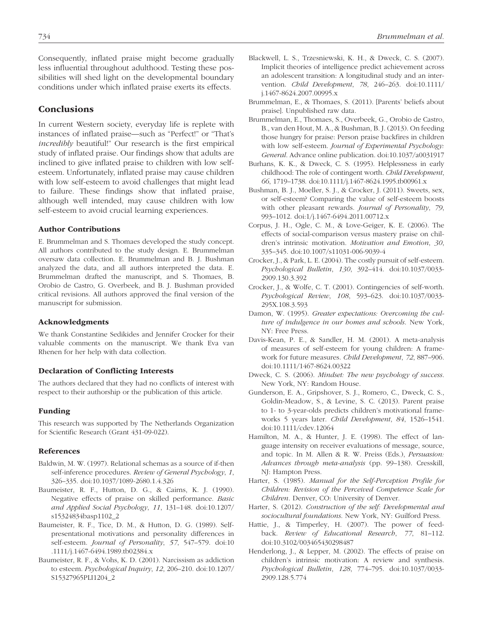Consequently, inflated praise might become gradually less influential throughout adulthood. Testing these possibilities will shed light on the developmental boundary conditions under which inflated praise exerts its effects.

## **Conclusions**

In current Western society, everyday life is replete with instances of inflated praise—such as "Perfect!" or "That's *incredibly* beautiful!" Our research is the first empirical study of inflated praise. Our findings show that adults are inclined to give inflated praise to children with low selfesteem. Unfortunately, inflated praise may cause children with low self-esteem to avoid challenges that might lead to failure. These findings show that inflated praise, although well intended, may cause children with low self-esteem to avoid crucial learning experiences.

#### Author Contributions

E. Brummelman and S. Thomaes developed the study concept. All authors contributed to the study design. E. Brummelman oversaw data collection. E. Brummelman and B. J. Bushman analyzed the data, and all authors interpreted the data. E. Brummelman drafted the manuscript, and S. Thomaes, B. Orobio de Castro, G. Overbeek, and B. J. Bushman provided critical revisions. All authors approved the final version of the manuscript for submission.

#### Acknowledgments

We thank Constantine Sedikides and Jennifer Crocker for their valuable comments on the manuscript. We thank Eva van Rhenen for her help with data collection.

#### Declaration of Conflicting Interests

The authors declared that they had no conflicts of interest with respect to their authorship or the publication of this article.

#### Funding

This research was supported by The Netherlands Organization for Scientific Research (Grant 431-09-022).

#### References

- Baldwin, M. W. (1997). Relational schemas as a source of if-then self-inference procedures. *Review of General Psychology*, *1*, 326–335. doi:10.1037/1089-2680.1.4.326
- Baumeister, R. F., Hutton, D. G., & Cairns, K. J. (1990). Negative effects of praise on skilled performance. *Basic and Applied Social Psychology*, *11*, 131–148. doi:10.1207/ s15324834basp1102\_2
- Baumeister, R. F., Tice, D. M., & Hutton, D. G. (1989). Selfpresentational motivations and personality differences in self-esteem. *Journal of Personality*, *57*, 547–579. doi:10 .1111/j.1467-6494.1989.tb02384.x
- Baumeister, R. F., & Vohs, K. D. (2001). Narcissism as addiction to esteem. *Psychological Inquiry*, *12*, 206–210. doi:10.1207/ S15327965PLI1204\_2
- Blackwell, L. S., Trzesniewski, K. H., & Dweck, C. S. (2007). Implicit theories of intelligence predict achievement across an adolescent transition: A longitudinal study and an intervention. *Child Development*, *78*, 246–263. doi:10.1111/ j.1467-8624.2007.00995.x
- Brummelman, E., & Thomaes, S. (2011). [Parents' beliefs about praise]. Unpublished raw data.
- Brummelman, E., Thomaes, S., Overbeek, G., Orobio de Castro, B., van den Hout, M. A., & Bushman, B. J. (2013). On feeding those hungry for praise: Person praise backfires in children with low self-esteem. *Journal of Experimental Psychology: General*. Advance online publication. doi:10.1037/a0031917
- Burhans, K. K., & Dweck, C. S. (1995). Helplessness in early childhood: The role of contingent worth. *Child Development*, *66*, 1719–1738. doi:10.1111/j.1467-8624.1995.tb00961.x
- Bushman, B. J., Moeller, S. J., & Crocker, J. (2011). Sweets, sex, or self-esteem? Comparing the value of self-esteem boosts with other pleasant rewards. *Journal of Personality*, *79*, 993–1012. doi:1/j.1467-6494.2011.00712.x
- Corpus, J. H., Ogle, C. M., & Love-Geiger, K. E. (2006). The effects of social-comparison versus mastery praise on children's intrinsic motivation. *Motivation and Emotion*, *30*, 335–345. doi:10.1007/s11031-006-9039-4
- Crocker, J., & Park, L. E. (2004). The costly pursuit of self-esteem. *Psychological Bulletin*, *130*, 392–414. doi:10.1037/0033- 2909.130.3.392
- Crocker, J., & Wolfe, C. T. (2001). Contingencies of self-worth. *Psychological Review*, *108*, 593–623. doi:10.1037/0033- 295X.108.3.593
- Damon, W. (1995). *Greater expectations: Overcoming the culture of indulgence in our homes and schools*. New York, NY: Free Press.
- Davis-Kean, P. E., & Sandler, H. M. (2001). A meta-analysis of measures of self-esteem for young children: A framework for future measures. *Child Development*, *72*, 887–906. doi:10.1111/1467-8624.00322
- Dweck, C. S. (2006). *Mindset: The new psychology of success*. New York, NY: Random House.
- Gunderson, E. A., Gripshover, S. J., Romero, C., Dweck, C. S., Goldin-Meadow, S., & Levine, S. C. (2013). Parent praise to 1- to 3-year-olds predicts children's motivational frameworks 5 years later. *Child Development*, *84*, 1526–1541. doi:10.1111/cdev.12064
- Hamilton, M. A., & Hunter, J. E. (1998). The effect of language intensity on receiver evaluations of message, source, and topic. In M. Allen & R. W. Preiss (Eds.), *Persuasion: Advances through meta-analysis* (pp. 99–138). Cresskill, NJ: Hampton Press.
- Harter, S. (1985). *Manual for the Self-Perception Profile for Children: Revision of the Perceived Competence Scale for Children*. Denver, CO: University of Denver.
- Harter, S. (2012). *Construction of the self: Developmental and sociocultural foundations*. New York, NY: Guilford Press.
- Hattie, J., & Timperley, H. (2007). The power of feedback. *Review of Educational Research*, *77*, 81–112. doi:10.3102/003465430298487
- Henderlong, J., & Lepper, M. (2002). The effects of praise on children's intrinsic motivation: A review and synthesis. *Psychological Bulletin*, *128*, 774–795. doi:10.1037/0033- 2909.128.5.774